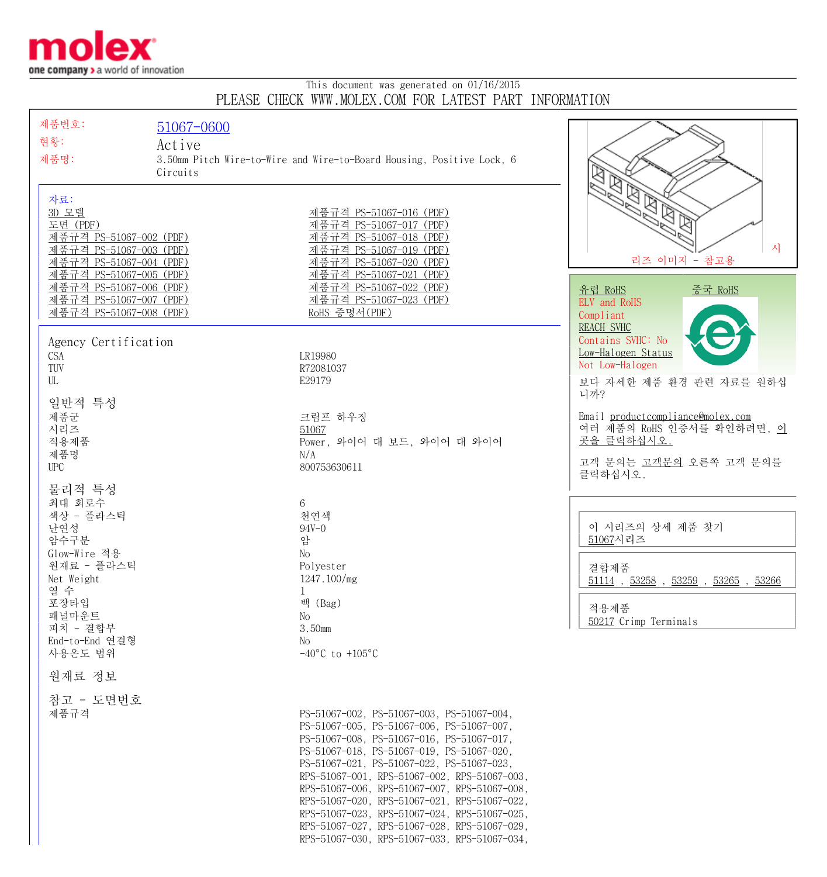

## This document was generated on 01/16/2015 PLEASE CHECK WWW.MOLEX.COM FOR LATEST PART INFORMATION

| 제품번호:<br>현황:                                                                                                                         | 51067-0600<br>Active |                                                                                                                                                                                                                                                                                                                                                                                                                                                                                                                               |                                                                                                                          |
|--------------------------------------------------------------------------------------------------------------------------------------|----------------------|-------------------------------------------------------------------------------------------------------------------------------------------------------------------------------------------------------------------------------------------------------------------------------------------------------------------------------------------------------------------------------------------------------------------------------------------------------------------------------------------------------------------------------|--------------------------------------------------------------------------------------------------------------------------|
| 제품명:                                                                                                                                 | Circuits             | 3.50mm Pitch Wire-to-Wire and Wire-to-Board Housing, Positive Lock, 6                                                                                                                                                                                                                                                                                                                                                                                                                                                         |                                                                                                                          |
| 자료:<br>3D 모델<br>도면 (PDF)<br>제품규격 PS-51067-002 (PDF)<br>제품규격 PS-51067-003 (PDF)<br>제품규격 PS-51067-004 (PDF)<br>제품규격 PS-51067-005 (PDF) |                      | 제품규격 PS-51067-016 (PDF)<br>제품규격 PS-51067-017 (PDF)<br>제품규격 PS-51067-018 (PDF)<br>제품규격 PS-51067-019 (PDF)<br>제품규격 PS-51067-020 (PDF)<br>제품규격 PS-51067-021 (PDF)                                                                                                                                                                                                                                                                                                                                                                | $\mathbb{Z}$<br>시<br>리즈 이미지 - 참고용                                                                                        |
| <u>제품규격 PS-51067-006 (PDF)</u><br>제품규격 PS-51067-007 (PDF)<br><u>제품규격 PS-51067-008 (PDF)</u>                                          |                      | <u>제품규격 PS-51067-022 (PDF)</u><br>제품규격 PS-51067-023 (PDF)<br>RoHS 증명서(PDF)                                                                                                                                                                                                                                                                                                                                                                                                                                                    | 유럽 RoHS<br>중국 RoHS<br>ELV and RoHS<br>Compliant                                                                          |
| Agency Certification<br><b>CSA</b><br>TUV<br>UL                                                                                      |                      | LR19980<br>R72081037<br>E29179                                                                                                                                                                                                                                                                                                                                                                                                                                                                                                | <b>REACH SVHC</b><br>Contains SVHC: No<br>Low-Halogen Status<br>Not Low-Halogen<br>보다 자세한 제품 환경 관련 자료를 원하십               |
| 일반적 특성<br>제품군<br>시리즈<br>적용제품<br>제품명<br><b>UPC</b>                                                                                    |                      | 크림프 하우징<br>51067<br>Power, 와이어 대 보드, 와이어 대 와이어<br>N/A<br>800753630611                                                                                                                                                                                                                                                                                                                                                                                                                                                         | 니까?<br>Email productcompliance@molex.com<br>여러 제품의 RoHS 인증서를 확인하려면, 이<br>곳을 클릭하십시오.<br>고객 문의는 고객문의 오른쪽 고객 문의를<br>클릭하십시오. |
| 물리적 특성<br>최대 회로수<br>색상 - 플라스틱<br>난연성<br>암수구분<br>Glow-Wire 적용<br>원재료 - 플라스틱<br>Net Weight<br>열 수                                      |                      | 6<br>천연색<br>$94V - 0$<br>암<br>No<br>Polyester<br>1247.100/mg<br>1                                                                                                                                                                                                                                                                                                                                                                                                                                                             | 이 시리즈의 상세 제품 찾기<br>51067시리즈<br>결합제품<br>$51114$ , $53258$ , $53259$ , $53265$ , $53266$                                   |
| 포장타입<br>패널마운트<br>피치 - 결합부<br>End-to-End 연결형<br>사용온도 범위                                                                               |                      | 백 (Bag)<br>No<br>3.50mm<br>No<br>$-40^{\circ}$ C to $+105^{\circ}$ C                                                                                                                                                                                                                                                                                                                                                                                                                                                          | 적용제품<br>50217 Crimp Terminals                                                                                            |
| 원재료 정보                                                                                                                               |                      |                                                                                                                                                                                                                                                                                                                                                                                                                                                                                                                               |                                                                                                                          |
| 참고 - 도면번호<br>제품규격                                                                                                                    |                      | PS-51067-002, PS-51067-003, PS-51067-004,<br>PS-51067-005, PS-51067-006, PS-51067-007,<br>PS-51067-008, PS-51067-016, PS-51067-017,<br>PS-51067-018, PS-51067-019, PS-51067-020,<br>PS-51067-021, PS-51067-022, PS-51067-023,<br>RPS-51067-001, RPS-51067-002, RPS-51067-003,<br>RPS-51067-006, RPS-51067-007, RPS-51067-008,<br>RPS-51067-020, RPS-51067-021, RPS-51067-022,<br>RPS-51067-023, RPS-51067-024, RPS-51067-025,<br>RPS-51067-027, RPS-51067-028, RPS-51067-029,<br>RPS-51067-030, RPS-51067-033, RPS-51067-034, |                                                                                                                          |